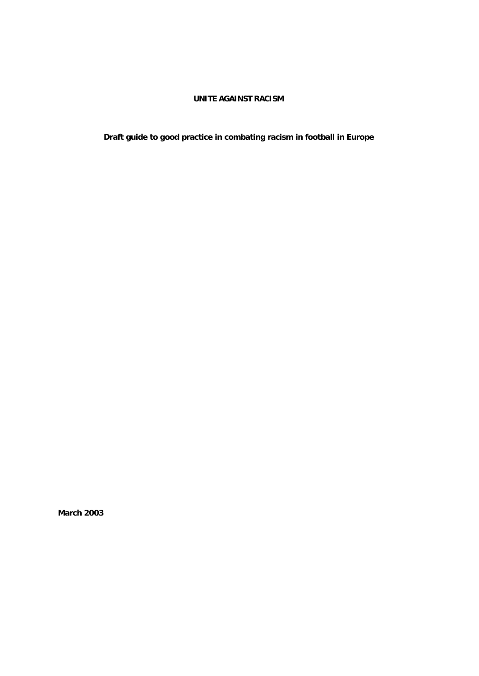# **UNITE AGAINST RACISM**

**Draft guide to good practice in combating racism in football in Europe**

**March 2003**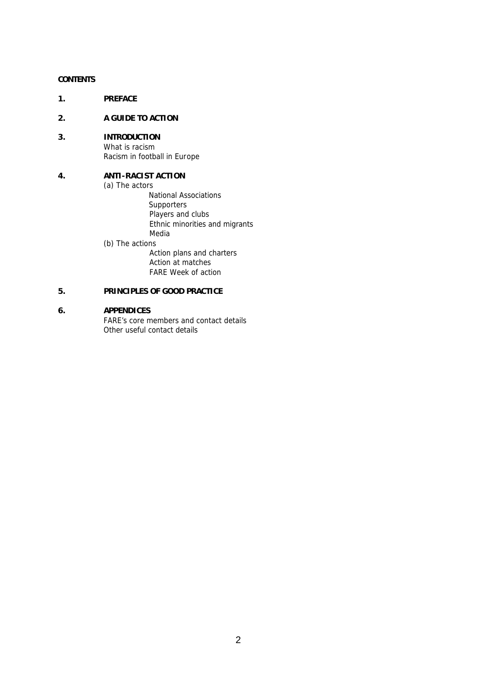# **CONTENTS**

**1. PREFACE**

## **2. A GUIDE TO ACTION**

**3. INTRODUCTION** What is racism Racism in football in Europe

# **4. ANTI-RACIST ACTION**

(a) The actors

- National Associations **Supporters** Players and clubs Ethnic minorities and migrants Media (b) The actions
	- Action plans and charters Action at matches FARE Week of action

# **5. PRINCIPLES OF GOOD PRACTICE**

# **6. APPENDICES**

FARE's core members and contact details Other useful contact details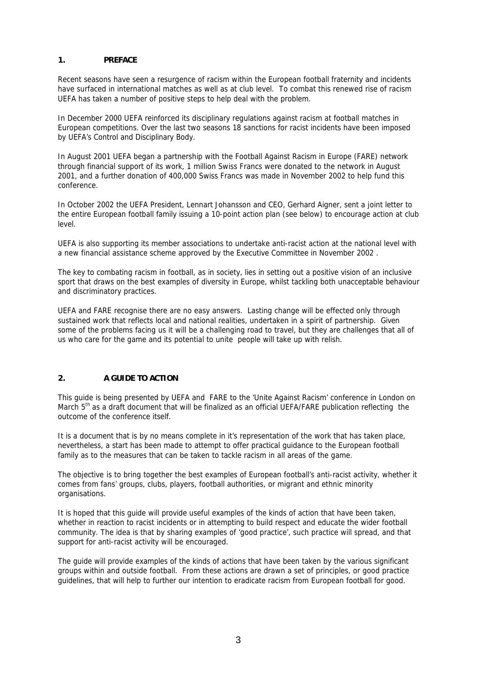# **1. PREFACE**

Recent seasons have seen a resurgence of racism within the European football fraternity and incidents have surfaced in international matches as well as at club level. To combat this renewed rise of racism UEFA has taken a number of positive steps to help deal with the problem.

In December 2000 UEFA reinforced its disciplinary regulations against racism at football matches in European competitions. Over the last two seasons 18 sanctions for racist incidents have been imposed by UEFA's Control and Disciplinary Body.

In August 2001 UEFA began a partnership with the Football Against Racism in Europe (FARE) network through financial support of its work, 1 million Swiss Francs were donated to the network in August 2001, and a further donation of 400,000 Swiss Francs was made in November 2002 to help fund this conference.

In October 2002 the UEFA President, Lennart Johansson and CEO, Gerhard Aigner, sent a joint letter to the entire European football family issuing a 10-point action plan (see below) to encourage action at club level.

UEFA is also supporting its member associations to undertake anti-racist action at the national level with a new financial assistance scheme approved by the Executive Committee in November 2002 .

The key to combating racism in football, as in society, lies in setting out a positive vision of an inclusive sport that draws on the best examples of diversity in Europe, whilst tackling both unacceptable behaviour and discriminatory practices.

UEFA and FARE recognise there are no easy answers. Lasting change will be effected only through sustained work that reflects local and national realities, undertaken in a spirit of partnership. Given some of the problems facing us it will be a challenging road to travel, but they are challenges that all of us who care for the game and its potential to unite people will take up with relish.

# **2. A GUIDE TO ACTION**

This guide is being presented by UEFA and FARE to the 'Unite Against Racism' conference in London on March 5<sup>th</sup> as a draft document that will be finalized as an official UEFA/FARE publication reflecting the outcome of the conference itself.

It is a document that is by no means complete in it's representation of the work that has taken place, nevertheless, a start has been made to attempt to offer practical guidance to the European football family as to the measures that can be taken to tackle racism in all areas of the game.

The objective is to bring together the best examples of European football's anti-racist activity, whether it comes from fans' groups, clubs, players, football authorities, or migrant and ethnic minority organisations.

It is hoped that this guide will provide useful examples of the kinds of action that have been taken, whether in reaction to racist incidents or in attempting to build respect and educate the wider football community. The idea is that by sharing examples of 'good practice', such practice will spread, and that support for anti-racist activity will be encouraged.

The guide will provide examples of the kinds of actions that have been taken by the various significant groups within and outside football. From these actions are drawn a set of principles, or good practice guidelines, that will help to further our intention to eradicate racism from European football for good.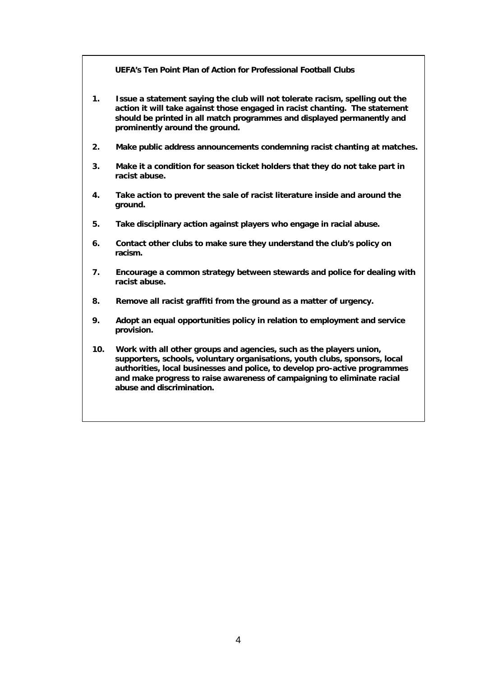**UEFA's Ten Point Plan of Action for Professional Football Clubs**

- **1. Issue a statement saying the club will not tolerate racism, spelling out the action it will take against those engaged in racist chanting. The statement should be printed in all match programmes and displayed permanently and prominently around the ground.**
- **2. Make public address announcements condemning racist chanting at matches.**
- **3. Make it a condition for season ticket holders that they do not take part in racist abuse.**
- **4. Take action to prevent the sale of racist literature inside and around the ground.**
- **5. Take disciplinary action against players who engage in racial abuse.**
- **6. Contact other clubs to make sure they understand the club's policy on racism.**
- **7. Encourage a common strategy between stewards and police for dealing with racist abuse.**
- **8. Remove all racist graffiti from the ground as a matter of urgency.**
- **9. Adopt an equal opportunities policy in relation to employment and service provision.**
- **10. Work with all other groups and agencies, such as the players union, supporters, schools, voluntary organisations, youth clubs, sponsors, local authorities, local businesses and police, to develop pro-active programmes and make progress to raise awareness of campaigning to eliminate racial abuse and discrimination.**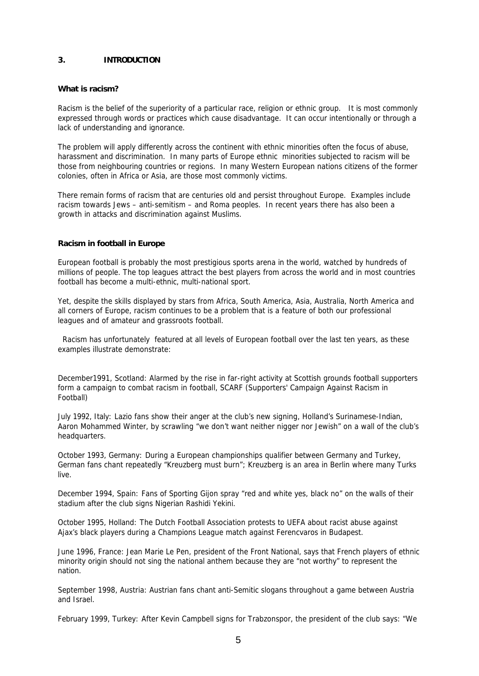#### **3. INTRODUCTION**

#### **What is racism?**

Racism is the belief of the superiority of a particular race, religion or ethnic group. It is most commonly expressed through words or practices which cause disadvantage. It can occur intentionally or through a lack of understanding and ignorance.

The problem will apply differently across the continent with ethnic minorities often the focus of abuse, harassment and discrimination. In many parts of Europe ethnic minorities subjected to racism will be those from neighbouring countries or regions. In many Western European nations citizens of the former colonies, often in Africa or Asia, are those most commonly victims.

There remain forms of racism that are centuries old and persist throughout Europe. Examples include racism towards Jews – anti-semitism – and Roma peoples. In recent years there has also been a growth in attacks and discrimination against Muslims.

#### **Racism in football in Europe**

European football is probably the most prestigious sports arena in the world, watched by hundreds of millions of people. The top leagues attract the best players from across the world and in most countries football has become a multi-ethnic, multi-national sport.

Yet, despite the skills displayed by stars from Africa, South America, Asia, Australia, North America and all corners of Europe, racism continues to be a problem that is a feature of both our professional leagues and of amateur and grassroots football.

 Racism has unfortunately featured at all levels of European football over the last ten years, as these examples illustrate demonstrate:

*December1991, Scotland:* Alarmed by the rise in far-right activity at Scottish grounds football supporters form a campaign to combat racism in football, SCARF (Supporters' Campaign Against Racism in Football)

*July 1992, Italy:* Lazio fans show their anger at the club's new signing, Holland's Surinamese-Indian, Aaron Mohammed Winter, by scrawling "we don't want neither nigger nor Jewish" on a wall of the club's headquarters.

*October 1993, Germany:* During a European championships qualifier between Germany and Turkey, German fans chant repeatedly "Kreuzberg must burn"; Kreuzberg is an area in Berlin where many Turks live.

*December 1994, Spain:* Fans of Sporting Gijon spray "red and white yes, black no" on the walls of their stadium after the club signs Nigerian Rashidi Yekini.

*October 1995, Holland:* The Dutch Football Association protests to UEFA about racist abuse against Ajax's black players during a Champions League match against Ferencvaros in Budapest.

*June 1996, France:* Jean Marie Le Pen, president of the Front National, says that French players of ethnic minority origin should not sing the national anthem because they are "not worthy" to represent the nation.

*September 1998, Austria:* Austrian fans chant anti-Semitic slogans throughout a game between Austria and Israel.

*February 1999, Turkey:* After Kevin Campbell signs for Trabzonspor, the president of the club says: "We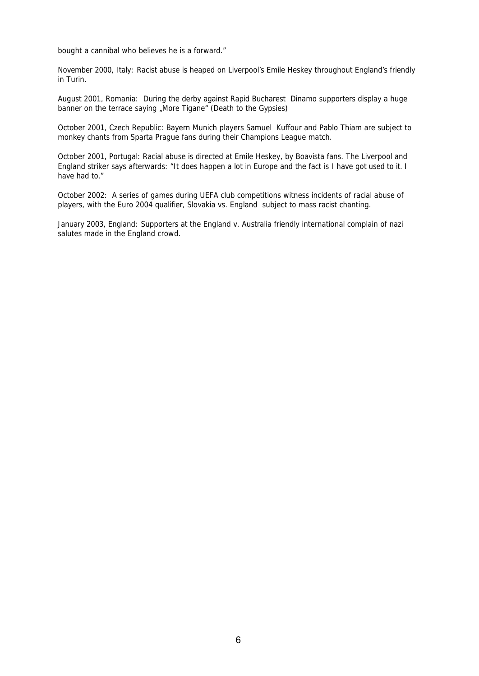bought a cannibal who believes he is a forward."

*November 2000, Italy:* Racist abuse is heaped on Liverpool's Emile Heskey throughout England's friendly in Turin.

*August 2001, Romania:* During the derby against Rapid Bucharest Dinamo supporters display a huge banner on the terrace saying "More Tigane" (Death to the Gypsies)

*October 2001, Czech Republic:* Bayern Munich players Samuel Kuffour and Pablo Thiam are subject to monkey chants from Sparta Prague fans during their Champions League match.

*October 2001, Portugal:* Racial abuse is directed at Emile Heskey, by Boavista fans. The Liverpool and England striker says afterwards: "It does happen a lot in Europe and the fact is I have got used to it. I have had to."

*October 2002:* A series of games during UEFA club competitions witness incidents of racial abuse of players, with the Euro 2004 qualifier, Slovakia vs. England subject to mass racist chanting.

*January 2003, England:* Supporters at the England v. Australia friendly international complain of nazi salutes made in the England crowd.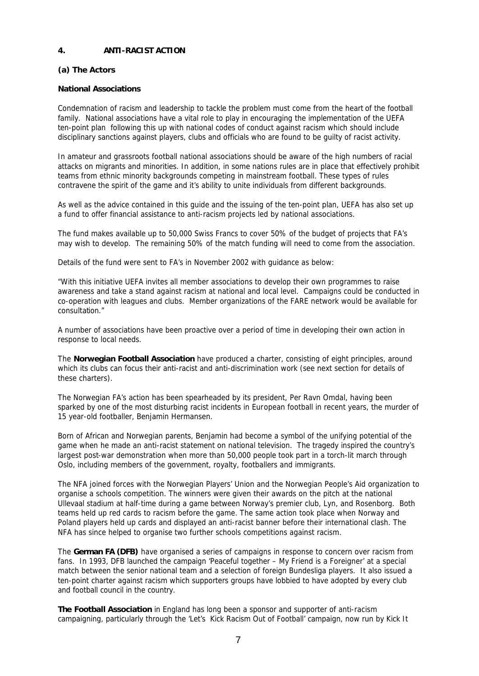# **4. ANTI-RACIST ACTION**

# **(a) The Actors**

# **National Associations**

Condemnation of racism and leadership to tackle the problem must come from the heart of the football family. National associations have a vital role to play in encouraging the implementation of the UEFA ten-point plan following this up with national codes of conduct against racism which should include disciplinary sanctions against players, clubs and officials who are found to be guilty of racist activity.

In amateur and grassroots football national associations should be aware of the high numbers of racial attacks on migrants and minorities. In addition, in some nations rules are in place that effectively prohibit teams from ethnic minority backgrounds competing in mainstream football. These types of rules contravene the spirit of the game and it's ability to unite individuals from different backgrounds.

As well as the advice contained in this guide and the issuing of the ten-point plan, UEFA has also set up a fund to offer financial assistance to anti-racism projects led by national associations.

The fund makes available up to 50,000 Swiss Francs to cover 50% of the budget of projects that FA's may wish to develop. The remaining 50% of the match funding will need to come from the association.

Details of the fund were sent to FA's in November 2002 with guidance as below:

"With this initiative UEFA invites all member associations to develop their own programmes to raise awareness and take a stand against racism at national and local level. Campaigns could be conducted in co-operation with leagues and clubs. Member organizations of the FARE network would be available for consultation."

A number of associations have been proactive over a period of time in developing their own action in response to local needs.

The **Norwegian Football Association** have produced a charter, consisting of eight principles, around which its clubs can focus their anti-racist and anti-discrimination work (see next section for details of these charters).

The Norwegian FA's action has been spearheaded by its president, Per Ravn Omdal, having been sparked by one of the most disturbing racist incidents in European football in recent years, the murder of 15 year-old footballer, Benjamin Hermansen.

Born of African and Norwegian parents, Benjamin had become a symbol of the unifying potential of the game when he made an anti-racist statement on national television. The tragedy inspired the country's largest post-war demonstration when more than 50,000 people took part in a torch-lit march through Oslo, including members of the government, royalty, footballers and immigrants.

The NFA joined forces with the Norwegian Players' Union and the Norwegian People's Aid organization to organise a schools competition. The winners were given their awards on the pitch at the national Ullevaal stadium at half-time during a game between Norway's premier club, Lyn, and Rosenborg. Both teams held up red cards to racism before the game. The same action took place when Norway and Poland players held up cards and displayed an anti-racist banner before their international clash. The NFA has since helped to organise two further schools competitions against racism.

The **German FA (DFB)** have organised a series of campaigns in response to concern over racism from fans. In 1993, DFB launched the campaign 'Peaceful together – My Friend is a Foreigner' at a special match between the senior national team and a selection of foreign Bundesliga players. It also issued a ten-point charter against racism which supporters groups have lobbied to have adopted by every club and football council in the country.

**The Football Association** in England has long been a sponsor and supporter of anti-racism campaigning, particularly through the 'Let's Kick Racism Out of Football' campaign, now run by Kick It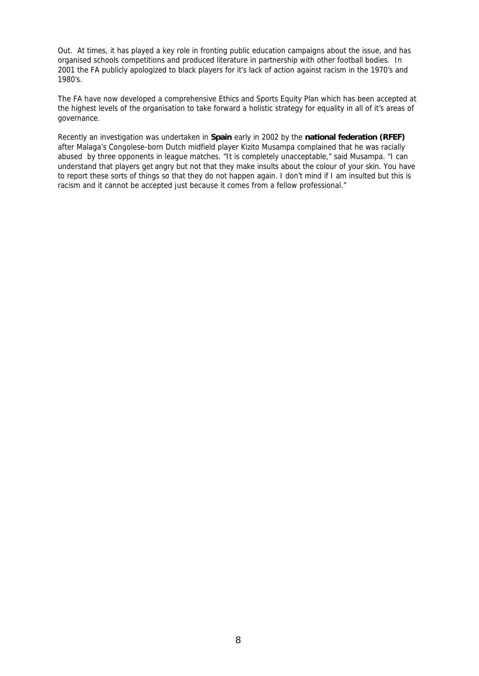Out. At times, it has played a key role in fronting public education campaigns about the issue, and has organised schools competitions and produced literature in partnership with other football bodies. In 2001 the FA publicly apologized to black players for it's lack of action against racism in the 1970's and 1980's.

The FA have now developed a comprehensive Ethics and Sports Equity Plan which has been accepted at the highest levels of the organisation to take forward a holistic strategy for equality in all of it's areas of governance.

Recently an investigation was undertaken in **Spain** early in 2002 by the **national federation (RFEF)** after Malaga's Congolese-born Dutch midfield player Kizito Musampa complained that he was racially abused by three opponents in league matches. "It is completely unacceptable," said Musampa. "I can understand that players get angry but not that they make insults about the colour of your skin. You have to report these sorts of things so that they do not happen again. I don't mind if I am insulted but this is racism and it cannot be accepted just because it comes from a fellow professional."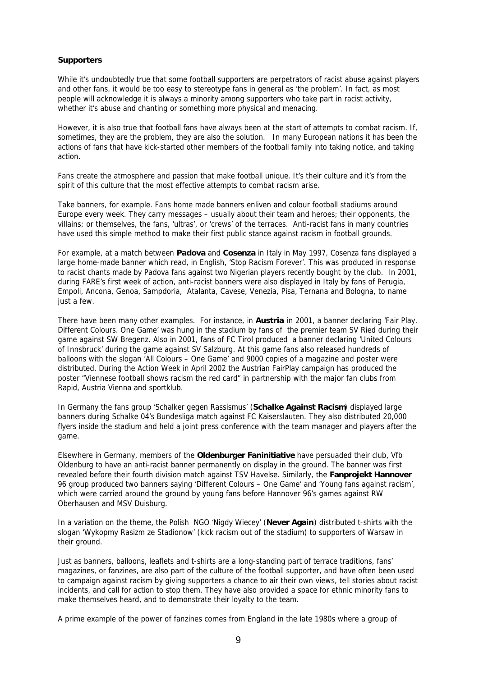#### **Supporters**

While it's undoubtedly true that some football supporters are perpetrators of racist abuse against players and other fans, it would be too easy to stereotype fans in general as 'the problem'. In fact, as most people will acknowledge it is always a minority among supporters who take part in racist activity, whether it's abuse and chanting or something more physical and menacing.

However, it is also true that football fans have always been at the start of attempts to combat racism. If, sometimes, they are the problem, they are also the solution. In many European nations it has been the actions of fans that have kick-started other members of the football family into taking notice, and taking action.

Fans create the atmosphere and passion that make football unique. It's their culture and it's from the spirit of this culture that the most effective attempts to combat racism arise.

Take banners, for example. Fans home made banners enliven and colour football stadiums around Europe every week. They carry messages – usually about their team and heroes; their opponents, the villains; or themselves, the fans, 'ultras', or 'crews' of the terraces. Anti-racist fans in many countries have used this simple method to make their first public stance against racism in football grounds.

For example, at a match between **Padova** and **Cosenza** in Italy in May 1997, Cosenza fans displayed a large home-made banner which read, in English, 'Stop Racism Forever'. This was produced in response to racist chants made by Padova fans against two Nigerian players recently bought by the club. In 2001, during FARE's first week of action, anti-racist banners were also displayed in Italy by fans of Perugia, Empoli, Ancona, Genoa, Sampdoria, Atalanta, Cavese, Venezia, Pisa, Ternana and Bologna, to name just a few.

There have been many other examples. For instance, in **Austria** in 2001, a banner declaring 'Fair Play. Different Colours. One Game' was hung in the stadium by fans of the premier team SV Ried during their game against SW Bregenz. Also in 2001, fans of FC Tirol produced a banner declaring 'United Colours of Innsbruck' during the game against SV Salzburg. At this game fans also released hundreds of balloons with the slogan 'All Colours – One Game' and 9000 copies of a magazine and poster were distributed. During the Action Week in April 2002 the Austrian FairPlay campaign has produced the poster "Viennese football shows racism the red card" in partnership with the major fan clubs from Rapid, Austria Vienna and sportklub.

In Germany the fans group 'Schalker gegen Rassismus' (**Schalke Against Racism**) displayed large banners during Schalke 04's Bundesliga match against FC Kaiserslauten. They also distributed 20,000 flyers inside the stadium and held a joint press conference with the team manager and players after the game.

Elsewhere in Germany, members of the **Oldenburger Faninitiative** have persuaded their club, Vfb Oldenburg to have an anti-racist banner permanently on display in the ground. The banner was first revealed before their fourth division match against TSV Havelse. Similarly, the **Fanprojekt Hannover**  96 group produced two banners saying 'Different Colours – One Game' and 'Young fans against racism', which were carried around the ground by young fans before Hannover 96's games against RW Oberhausen and MSV Duisburg.

In a variation on the theme, the Polish NGO 'Nigdy Wiecey' (**Never Again**) distributed t-shirts with the slogan 'Wykopmy Rasizm ze Stadionow' (kick racism out of the stadium) to supporters of Warsaw in their ground.

Just as banners, balloons, leaflets and t-shirts are a long-standing part of terrace traditions, fans' magazines, or fanzines, are also part of the culture of the football supporter, and have often been used to campaign against racism by giving supporters a chance to air their own views, tell stories about racist incidents, and call for action to stop them. They have also provided a space for ethnic minority fans to make themselves heard, and to demonstrate their loyalty to the team.

A prime example of the power of fanzines comes from England in the late 1980s where a group of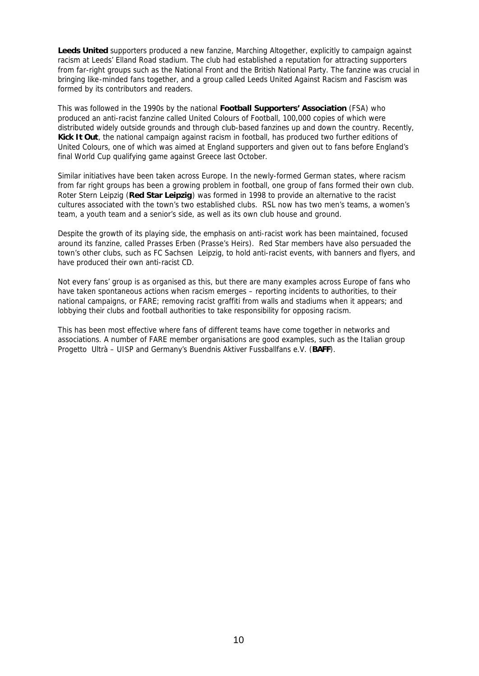**Leeds United** supporters produced a new fanzine, Marching Altogether, explicitly to campaign against racism at Leeds' Elland Road stadium. The club had established a reputation for attracting supporters from far-right groups such as the National Front and the British National Party. The fanzine was crucial in bringing like-minded fans together, and a group called Leeds United Against Racism and Fascism was formed by its contributors and readers.

This was followed in the 1990s by the national **Football Supporters' Association** (FSA) who produced an anti-racist fanzine called United Colours of Football, 100,000 copies of which were distributed widely outside grounds and through club-based fanzines up and down the country. Recently, **Kick It Out**, the national campaign against racism in football, has produced two further editions of United Colours, one of which was aimed at England supporters and given out to fans before England's final World Cup qualifying game against Greece last October.

Similar initiatives have been taken across Europe. In the newly-formed German states, where racism from far right groups has been a growing problem in football, one group of fans formed their own club. Roter Stern Leipzig (**Red Star Leipzig**) was formed in 1998 to provide an alternative to the racist cultures associated with the town's two established clubs. RSL now has two men's teams, a women's team, a youth team and a senior's side, as well as its own club house and ground.

Despite the growth of its playing side, the emphasis on anti-racist work has been maintained, focused around its fanzine, called Prasses Erben (Prasse's Heirs). Red Star members have also persuaded the town's other clubs, such as FC Sachsen Leipzig, to hold anti-racist events, with banners and flyers, and have produced their own anti-racist CD.

Not every fans' group is as organised as this, but there are many examples across Europe of fans who have taken spontaneous actions when racism emerges – reporting incidents to authorities, to their national campaigns, or FARE; removing racist graffiti from walls and stadiums when it appears; and lobbying their clubs and football authorities to take responsibility for opposing racism.

This has been most effective where fans of different teams have come together in networks and associations. A number of FARE member organisations are good examples, such as the Italian group Progetto Ultrà – UISP and Germany's Buendnis Aktiver Fussballfans e.V. (**BAFF**).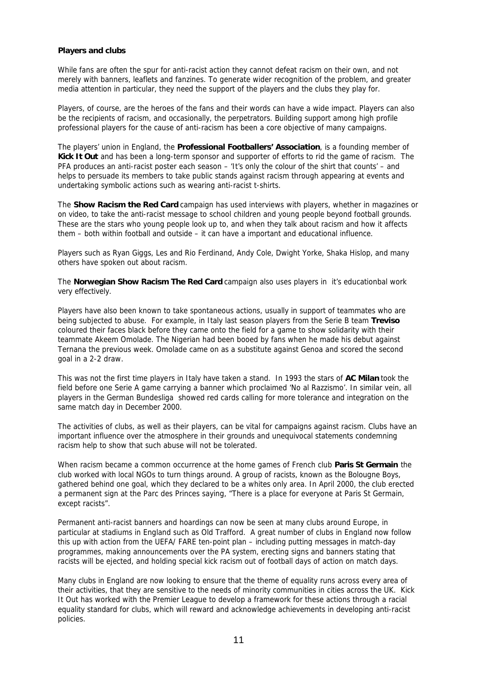## **Players and clubs**

While fans are often the spur for anti-racist action they cannot defeat racism on their own, and not merely with banners, leaflets and fanzines. To generate wider recognition of the problem, and greater media attention in particular, they need the support of the players and the clubs they play for.

Players, of course, are the heroes of the fans and their words can have a wide impact. Players can also be the recipients of racism, and occasionally, the perpetrators. Building support among high profile professional players for the cause of anti-racism has been a core objective of many campaigns.

The players' union in England, the **Professional Footballers' Association**, is a founding member of **Kick It Out** and has been a long-term sponsor and supporter of efforts to rid the game of racism. The PFA produces an anti-racist poster each season – 'It's only the colour of the shirt that counts' – and helps to persuade its members to take public stands against racism through appearing at events and undertaking symbolic actions such as wearing anti-racist t-shirts.

The **Show Racism the Red Card** campaign has used interviews with players, whether in magazines or on video, to take the anti-racist message to school children and young people beyond football grounds. These are the stars who young people look up to, and when they talk about racism and how it affects them – both within football and outside – it can have a important and educational influence.

Players such as Ryan Giggs, Les and Rio Ferdinand, Andy Cole, Dwight Yorke, Shaka Hislop, and many others have spoken out about racism.

The **Norwegian Show Racism The Red Card** campaign also uses players in it's educationbal work very effectively.

Players have also been known to take spontaneous actions, usually in support of teammates who are being subjected to abuse. For example, in Italy last season players from the Serie B team **Treviso** coloured their faces black before they came onto the field for a game to show solidarity with their teammate Akeem Omolade. The Nigerian had been booed by fans when he made his debut against Ternana the previous week. Omolade came on as a substitute against Genoa and scored the second goal in a 2-2 draw.

This was not the first time players in Italy have taken a stand. In 1993 the stars of **AC Milan** took the field before one Serie A game carrying a banner which proclaimed 'No al Razzismo'. In similar vein, all players in the German Bundesliga showed red cards calling for more tolerance and integration on the same match day in December 2000.

The activities of clubs, as well as their players, can be vital for campaigns against racism. Clubs have an important influence over the atmosphere in their grounds and unequivocal statements condemning racism help to show that such abuse will not be tolerated.

When racism became a common occurrence at the home games of French club **Paris St Germain** the club worked with local NGOs to turn things around. A group of racists, known as the Bolougne Boys, gathered behind one goal, which they declared to be a whites only area. In April 2000, the club erected a permanent sign at the Parc des Princes saying, "There is a place for everyone at Paris St Germain, except racists".

Permanent anti-racist banners and hoardings can now be seen at many clubs around Europe, in particular at stadiums in England such as Old Trafford. A great number of clubs in England now follow this up with action from the UEFA/ FARE ten-point plan – including putting messages in match-day programmes, making announcements over the PA system, erecting signs and banners stating that racists will be ejected, and holding special kick racism out of football days of action on match days.

Many clubs in England are now looking to ensure that the theme of equality runs across every area of their activities, that they are sensitive to the needs of minority communities in cities across the UK. Kick It Out has worked with the Premier League to develop a framework for these actions through a racial equality standard for clubs, which will reward and acknowledge achievements in developing anti-racist policies.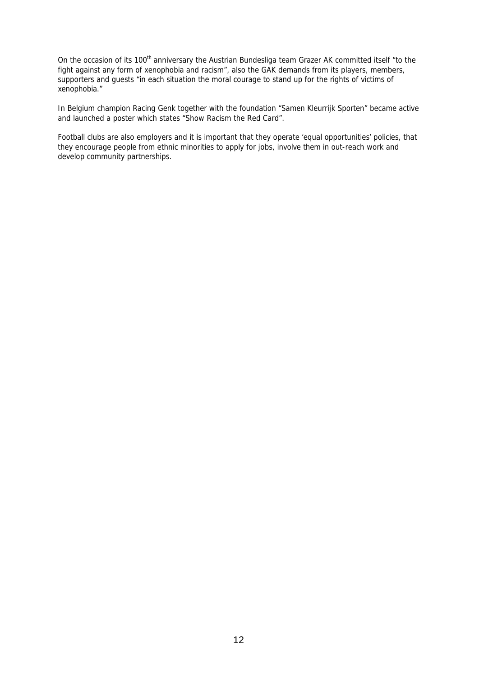On the occasion of its 100<sup>th</sup> anniversary the Austrian Bundesliga team Grazer AK committed itself "to the fight against any form of xenophobia and racism", also the GAK demands from its players, members, supporters and guests "in each situation the moral courage to stand up for the rights of victims of xenophobia."

In Belgium champion Racing Genk together with the foundation "Samen Kleurrijk Sporten" became active and launched a poster which states "Show Racism the Red Card".

Football clubs are also employers and it is important that they operate 'equal opportunities' policies, that they encourage people from ethnic minorities to apply for jobs, involve them in out-reach work and develop community partnerships.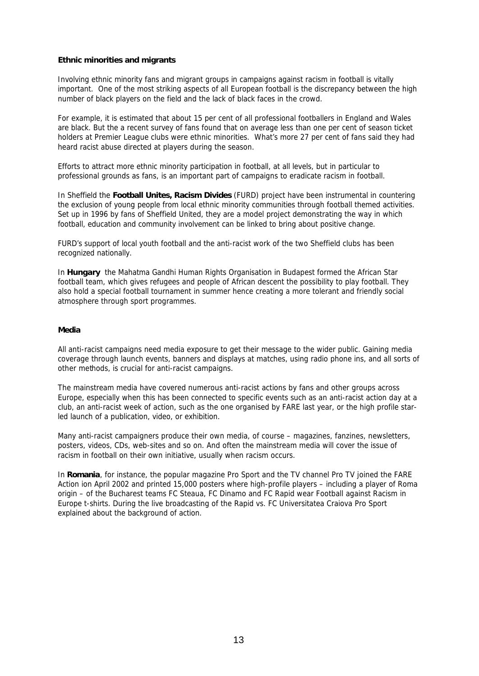#### **Ethnic minorities and migrants**

Involving ethnic minority fans and migrant groups in campaigns against racism in football is vitally important. One of the most striking aspects of all European football is the discrepancy between the high number of black players on the field and the lack of black faces in the crowd.

For example, it is estimated that about 15 per cent of all professional footballers in England and Wales are black. But the a recent survey of fans found that on average less than one per cent of season ticket holders at Premier League clubs were ethnic minorities. What's more 27 per cent of fans said they had heard racist abuse directed at players during the season.

Efforts to attract more ethnic minority participation in football, at all levels, but in particular to professional grounds as fans, is an important part of campaigns to eradicate racism in football.

In Sheffield the **Football Unites, Racism Divides** (FURD) project have been instrumental in countering the exclusion of young people from local ethnic minority communities through football themed activities. Set up in 1996 by fans of Sheffield United, they are a model project demonstrating the way in which football, education and community involvement can be linked to bring about positive change.

FURD's support of local youth football and the anti-racist work of the two Sheffield clubs has been recognized nationally.

In **Hungary** the Mahatma Gandhi Human Rights Organisation in Budapest formed the African Star football team, which gives refugees and people of African descent the possibility to play football. They also hold a special football tournament in summer hence creating a more tolerant and friendly social atmosphere through sport programmes.

#### **Media**

All anti-racist campaigns need media exposure to get their message to the wider public. Gaining media coverage through launch events, banners and displays at matches, using radio phone ins, and all sorts of other methods, is crucial for anti-racist campaigns.

The mainstream media have covered numerous anti-racist actions by fans and other groups across Europe, especially when this has been connected to specific events such as an anti-racist action day at a club, an anti-racist week of action, such as the one organised by FARE last year, or the high profile starled launch of a publication, video, or exhibition.

Many anti-racist campaigners produce their own media, of course – magazines, fanzines, newsletters, posters, videos, CDs, web-sites and so on. And often the mainstream media will cover the issue of racism in football on their own initiative, usually when racism occurs.

In **Romania**, for instance, the popular magazine Pro Sport and the TV channel Pro TV joined the FARE Action ion April 2002 and printed 15,000 posters where high-profile players – including a player of Roma origin – of the Bucharest teams FC Steaua, FC Dinamo and FC Rapid wear Football against Racism in Europe t-shirts. During the live broadcasting of the Rapid vs. FC Universitatea Craiova Pro Sport explained about the background of action.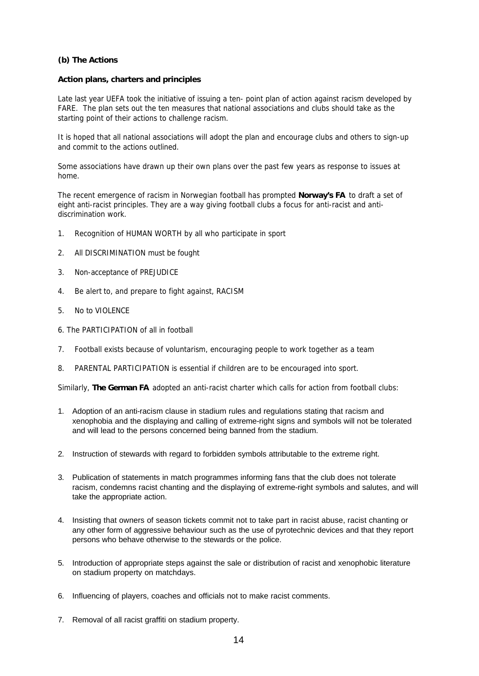# **(b) The Actions**

#### **Action plans, charters and principles**

Late last year UEFA took the initiative of issuing a ten- point plan of action against racism developed by FARE. The plan sets out the ten measures that national associations and clubs should take as the starting point of their actions to challenge racism.

It is hoped that all national associations will adopt the plan and encourage clubs and others to sign-up and commit to the actions outlined.

Some associations have drawn up their own plans over the past few years as response to issues at home.

The recent emergence of racism in Norwegian football has prompted **Norway's FA** to draft a set of eight anti-racist principles. They are a way giving football clubs a focus for anti-racist and antidiscrimination work.

- 1. Recognition of HUMAN WORTH by all who participate in sport
- 2. All DISCRIMINATION must be fought
- 3. Non-acceptance of PREJUDICE
- 4. Be alert to, and prepare to fight against, RACISM
- 5. No to VIOLENCE
- 6. The PARTICIPATION of all in football
- 7. Football exists because of voluntarism, encouraging people to work together as a team
- 8. PARENTAL PARTICIPATION is essential if children are to be encouraged into sport.

Similarly, **The German FA** adopted an anti-racist charter which calls for action from football clubs:

- 1. Adoption of an anti-racism clause in stadium rules and regulations stating that racism and xenophobia and the displaying and calling of extreme-right signs and symbols will not be tolerated and will lead to the persons concerned being banned from the stadium.
- 2. Instruction of stewards with regard to forbidden symbols attributable to the extreme right.
- 3. Publication of statements in match programmes informing fans that the club does not tolerate racism, condemns racist chanting and the displaying of extreme-right symbols and salutes, and will take the appropriate action.
- 4. Insisting that owners of season tickets commit not to take part in racist abuse, racist chanting or any other form of aggressive behaviour such as the use of pyrotechnic devices and that they report persons who behave otherwise to the stewards or the police.
- 5. Introduction of appropriate steps against the sale or distribution of racist and xenophobic literature on stadium property on matchdays.
- 6. Influencing of players, coaches and officials not to make racist comments.
- 7. Removal of all racist graffiti on stadium property.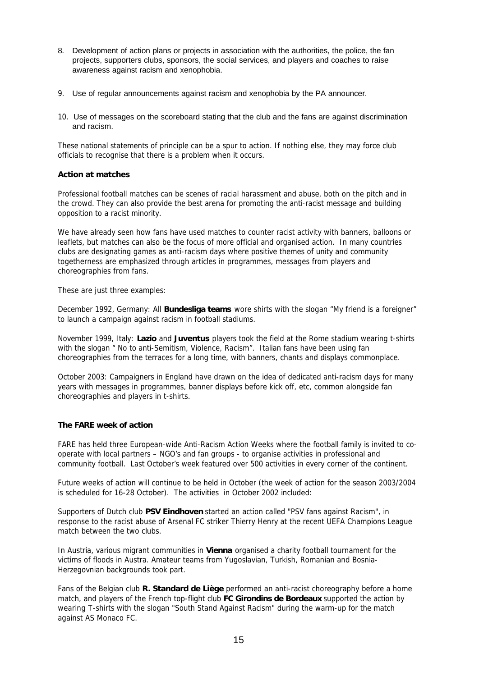- 8. Development of action plans or projects in association with the authorities, the police, the fan projects, supporters clubs, sponsors, the social services, and players and coaches to raise awareness against racism and xenophobia.
- 9. Use of regular announcements against racism and xenophobia by the PA announcer.
- 10. Use of messages on the scoreboard stating that the club and the fans are against discrimination and racism.

These national statements of principle can be a spur to action. If nothing else, they may force club officials to recognise that there is a problem when it occurs.

# **Action at matches**

Professional football matches can be scenes of racial harassment and abuse, both on the pitch and in the crowd. They can also provide the best arena for promoting the anti-racist message and building opposition to a racist minority.

We have already seen how fans have used matches to counter racist activity with banners, balloons or leaflets, but matches can also be the focus of more official and organised action. In many countries clubs are designating games as anti-racism days where positive themes of unity and community togetherness are emphasized through articles in programmes, messages from players and choreographies from fans.

These are just three examples:

*December 1992, Germany:* All **Bundesliga teams** wore shirts with the slogan "My friend is a foreigner" to launch a campaign against racism in football stadiums.

*November 1999, Italy:* **Lazio** and **Juventus** players took the field at the Rome stadium wearing t-shirts with the slogan " No to anti-Semitism, Violence, Racism". Italian fans have been using fan choreographies from the terraces for a long time, with banners, chants and displays commonplace.

*October 2003:* Campaigners in England have drawn on the idea of dedicated anti-racism days for many years with messages in programmes, banner displays before kick off, etc, common alongside fan choreographies and players in t-shirts.

# **The FARE week of action**

FARE has held three European-wide Anti-Racism Action Weeks where the football family is invited to cooperate with local partners – NGO's and fan groups - to organise activities in professional and community football. Last October's week featured over 500 activities in every corner of the continent.

Future weeks of action will continue to be held in October (the week of action for the season 2003/2004 is scheduled for 16-28 October). The activities in October 2002 included:

Supporters of Dutch club **PSV Eindhoven** started an action called "PSV fans against Racism", in response to the racist abuse of Arsenal FC striker Thierry Henry at the recent UEFA Champions League match between the two clubs.

In Austria, various migrant communities in **Vienna** organised a charity football tournament for the victims of floods in Austra. Amateur teams from Yugoslavian, Turkish, Romanian and Bosnia-Herzegovnian backgrounds took part.

Fans of the Belgian club **R. Standard de Liège** performed an anti-racist choreography before a home match, and players of the French top-flight club **FC Girondins de Bordeaux** supported the action by wearing T-shirts with the slogan "South Stand Against Racism" during the warm-up for the match against AS Monaco FC.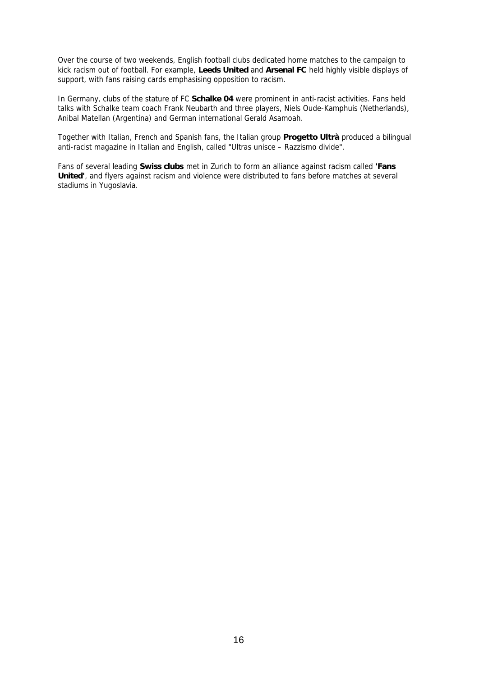Over the course of two weekends, English football clubs dedicated home matches to the campaign to kick racism out of football. For example, **Leeds United** and **Arsenal FC** held highly visible displays of support, with fans raising cards emphasising opposition to racism.

In Germany, clubs of the stature of FC **Schalke 04** were prominent in anti-racist activities. Fans held talks with Schalke team coach Frank Neubarth and three players, Niels Oude-Kamphuis (Netherlands), Anibal Matellan (Argentina) and German international Gerald Asamoah.

Together with Italian, French and Spanish fans, the Italian group **Progetto Ultrà** produced a bilingual anti-racist magazine in Italian and English, called "Ultras unisce – Razzismo divide".

Fans of several leading **Swiss clubs** met in Zurich to form an alliance against racism called **'Fans United'**, and flyers against racism and violence were distributed to fans before matches at several stadiums in Yugoslavia.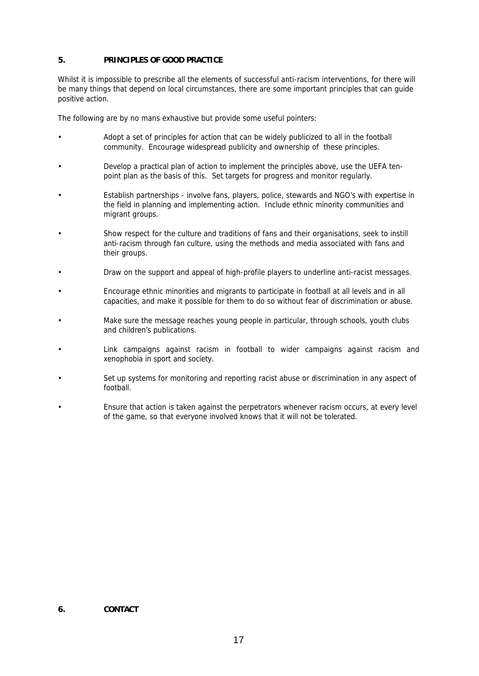# **5. PRINCIPLES OF GOOD PRACTICE**

Whilst it is impossible to prescribe all the elements of successful anti-racism interventions, for there will be many things that depend on local circumstances, there are some important principles that can guide positive action.

The following are by no mans exhaustive but provide some useful pointers:

- Adopt a set of principles for action that can be widely publicized to all in the football community. Encourage widespread publicity and ownership of these principles.
- Develop a practical plan of action to implement the principles above, use the UEFA tenpoint plan as the basis of this. Set targets for progress and monitor regularly.
- Establish partnerships involve fans, players, police, stewards and NGO's with expertise in the field in planning and implementing action. Include ethnic minority communities and migrant groups.
- Show respect for the culture and traditions of fans and their organisations, seek to instill anti-racism through fan culture, using the methods and media associated with fans and their groups.
- Draw on the support and appeal of high-profile players to underline anti-racist messages.
- Encourage ethnic minorities and migrants to participate in football at all levels and in all capacities, and make it possible for them to do so without fear of discrimination or abuse.
- Make sure the message reaches young people in particular, through schools, youth clubs and children's publications.
- Link campaigns against racism in football to wider campaigns against racism and xenophobia in sport and society.
- Set up systems for monitoring and reporting racist abuse or discrimination in any aspect of football.
- Ensure that action is taken against the perpetrators whenever racism occurs, at every level of the game, so that everyone involved knows that it will not be tolerated.

#### **6. CONTACT**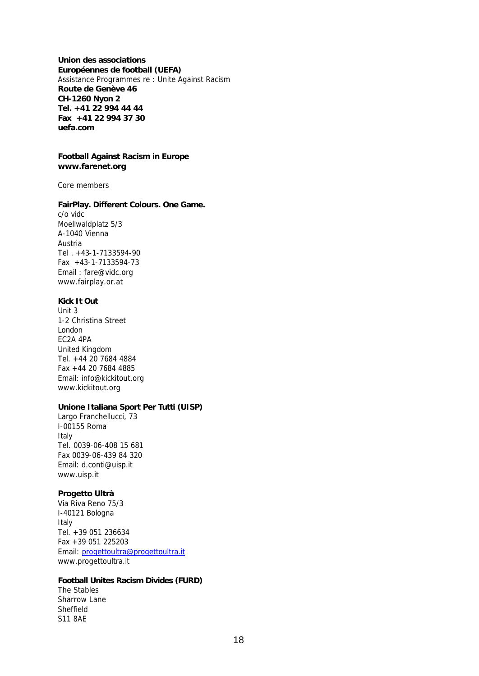**Union des associations Européennes de football (UEFA)** Assistance Programmes re : Unite Against Racism **Route de Genève 46 CH-1260 Nyon 2 Tel. +41 22 994 44 44 Fax +41 22 994 37 30 uefa.com**

#### **Football Against Racism in Europe www.farenet.org**

#### Core members

#### **FairPlay. Different Colours. One Game.**

c/o vidc Moellwaldplatz 5/3 A-1040 Vienna Austria Tel . +43-1-7133594-90 Fax +43-1-7133594-73 Email : fare@vidc.org www.fairplay.or.at

#### **Kick It Out**

Unit 3 1-2 Christina Street London EC2A 4PA United Kingdom Tel. +44 20 7684 4884 Fax +44 20 7684 4885 Email: info@kickitout.org www.kickitout.org

# **Unione Italiana Sport Per Tutti (UISP)**

Largo Franchellucci, 73 I-00155 Roma Italy Tel. 0039-06-408 15 681 Fax 0039-06-439 84 320 Email: d.conti@uisp.it www.uisp.it

#### **Progetto Ultrà**

Via Riva Reno 75/3 I-40121 Bologna Italy Tel. +39 051 236634 Fax +39 051 225203 Email: progettoultra@progettoultra.it www.progettoultra.it

# **Football Unites Racism Divides (FURD)**

The Stables Sharrow Lane Sheffield S11 8AE